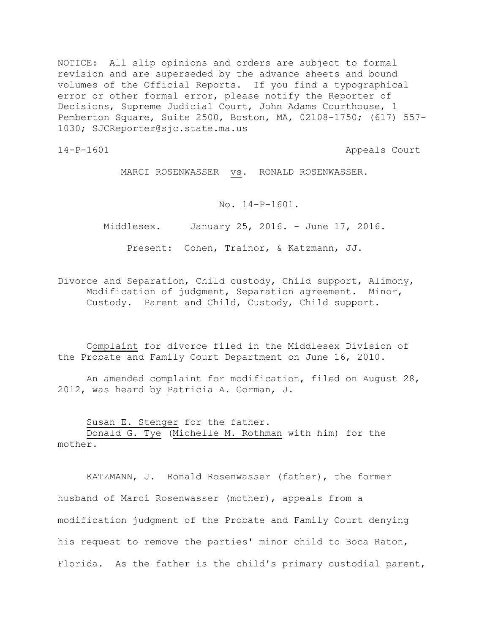NOTICE: All slip opinions and orders are subject to formal revision and are superseded by the advance sheets and bound volumes of the Official Reports. If you find a typographical error or other formal error, please notify the Reporter of Decisions, Supreme Judicial Court, John Adams Courthouse, 1 Pemberton Square, Suite 2500, Boston, MA, 02108-1750; (617) 557- 1030; SJCReporter@sjc.state.ma.us

14-P-1601 Appeals Court

MARCI ROSENWASSER vs. RONALD ROSENWASSER.

No. 14-P-1601.

Middlesex. January 25, 2016. - June 17, 2016.

Present: Cohen, Trainor, & Katzmann, JJ.

Divorce and Separation, Child custody, Child support, Alimony, Modification of judgment, Separation agreement. Minor, Custody. Parent and Child, Custody, Child support.

Complaint for divorce filed in the Middlesex Division of the Probate and Family Court Department on June 16, 2010.

An amended complaint for modification, filed on August 28, 2012, was heard by Patricia A. Gorman, J.

Susan E. Stenger for the father.

Donald G. Tye (Michelle M. Rothman with him) for the mother.

KATZMANN, J. Ronald Rosenwasser (father), the former husband of Marci Rosenwasser (mother), appeals from a modification judgment of the Probate and Family Court denying his request to remove the parties' minor child to Boca Raton, Florida. As the father is the child's primary custodial parent,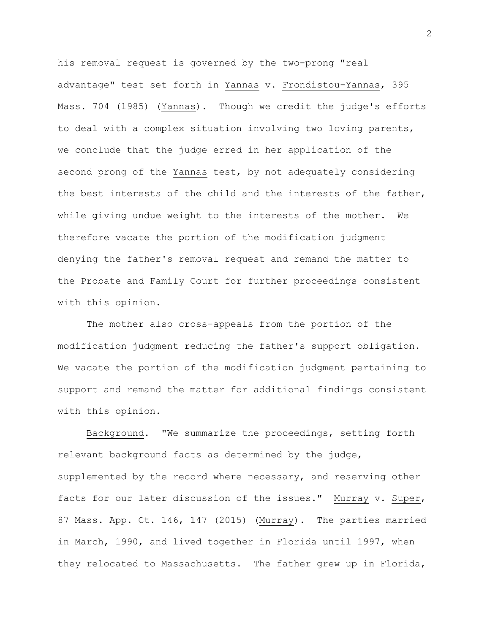his removal request is governed by the two-prong "real advantage" test set forth in Yannas v. Frondistou-Yannas, 395 Mass. 704 (1985) (Yannas). Though we credit the judge's efforts to deal with a complex situation involving two loving parents, we conclude that the judge erred in her application of the second prong of the Yannas test, by not adequately considering the best interests of the child and the interests of the father, while giving undue weight to the interests of the mother. We therefore vacate the portion of the modification judgment denying the father's removal request and remand the matter to the Probate and Family Court for further proceedings consistent with this opinion.

The mother also cross-appeals from the portion of the modification judgment reducing the father's support obligation. We vacate the portion of the modification judgment pertaining to support and remand the matter for additional findings consistent with this opinion.

Background. "We summarize the proceedings, setting forth relevant background facts as determined by the judge, supplemented by the record where necessary, and reserving other facts for our later discussion of the issues." Murray v. Super, 87 Mass. App. Ct. 146, 147 (2015) (Murray). The parties married in March, 1990, and lived together in Florida until 1997, when they relocated to Massachusetts. The father grew up in Florida,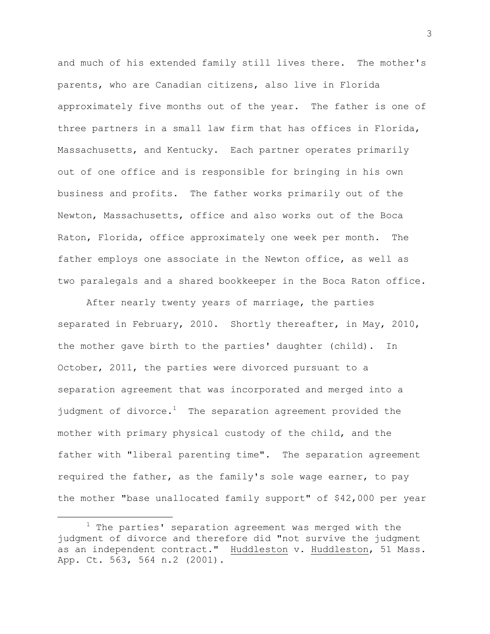and much of his extended family still lives there. The mother's parents, who are Canadian citizens, also live in Florida approximately five months out of the year. The father is one of three partners in a small law firm that has offices in Florida, Massachusetts, and Kentucky. Each partner operates primarily out of one office and is responsible for bringing in his own business and profits. The father works primarily out of the Newton, Massachusetts, office and also works out of the Boca Raton, Florida, office approximately one week per month. The father employs one associate in the Newton office, as well as two paralegals and a shared bookkeeper in the Boca Raton office.

After nearly twenty years of marriage, the parties separated in February, 2010. Shortly thereafter, in May, 2010, the mother gave birth to the parties' daughter (child). In October, 2011, the parties were divorced pursuant to a separation agreement that was incorporated and merged into a judgment of divorce.<sup>1</sup> The separation agreement provided the mother with primary physical custody of the child, and the father with "liberal parenting time". The separation agreement required the father, as the family's sole wage earner, to pay the mother "base unallocated family support" of \$42,000 per year

 $1$  The parties' separation agreement was merged with the judgment of divorce and therefore did "not survive the judgment as an independent contract." Huddleston v. Huddleston, 51 Mass. App. Ct. 563, 564 n.2 (2001).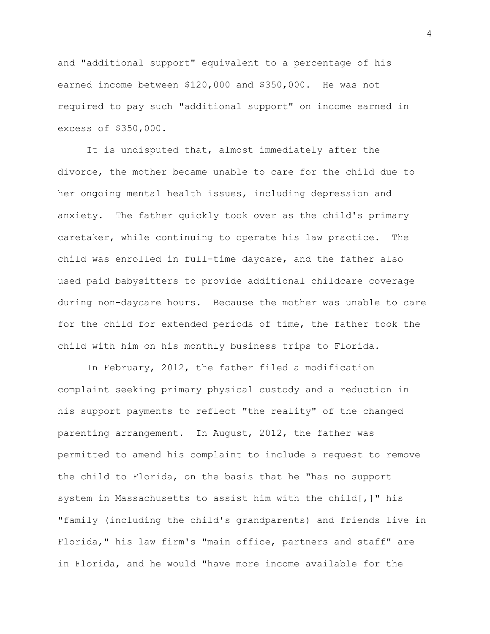and "additional support" equivalent to a percentage of his earned income between \$120,000 and \$350,000. He was not required to pay such "additional support" on income earned in excess of \$350,000.

It is undisputed that, almost immediately after the divorce, the mother became unable to care for the child due to her ongoing mental health issues, including depression and anxiety. The father quickly took over as the child's primary caretaker, while continuing to operate his law practice. The child was enrolled in full-time daycare, and the father also used paid babysitters to provide additional childcare coverage during non-daycare hours. Because the mother was unable to care for the child for extended periods of time, the father took the child with him on his monthly business trips to Florida.

In February, 2012, the father filed a modification complaint seeking primary physical custody and a reduction in his support payments to reflect "the reality" of the changed parenting arrangement. In August, 2012, the father was permitted to amend his complaint to include a request to remove the child to Florida, on the basis that he "has no support system in Massachusetts to assist him with the child[,]" his "family (including the child's grandparents) and friends live in Florida," his law firm's "main office, partners and staff" are in Florida, and he would "have more income available for the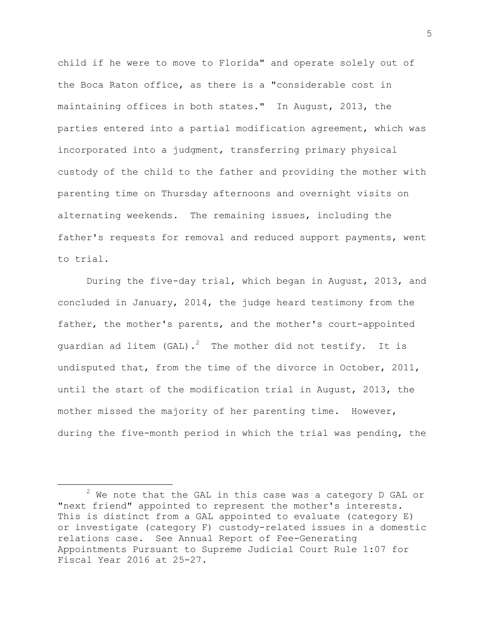child if he were to move to Florida" and operate solely out of the Boca Raton office, as there is a "considerable cost in maintaining offices in both states." In August, 2013, the parties entered into a partial modification agreement, which was incorporated into a judgment, transferring primary physical custody of the child to the father and providing the mother with parenting time on Thursday afternoons and overnight visits on alternating weekends. The remaining issues, including the father's requests for removal and reduced support payments, went to trial.

During the five-day trial, which began in August, 2013, and concluded in January, 2014, the judge heard testimony from the father, the mother's parents, and the mother's court-appointed guardian ad litem (GAL).<sup>2</sup> The mother did not testify. It is undisputed that, from the time of the divorce in October, 2011, until the start of the modification trial in August, 2013, the mother missed the majority of her parenting time. However, during the five-month period in which the trial was pending, the

 $2$  We note that the GAL in this case was a category D GAL or "next friend" appointed to represent the mother's interests. This is distinct from a GAL appointed to evaluate (category E) or investigate (category F) custody-related issues in a domestic relations case. See Annual Report of Fee-Generating Appointments Pursuant to Supreme Judicial Court Rule 1:07 for Fiscal Year 2016 at 25-27.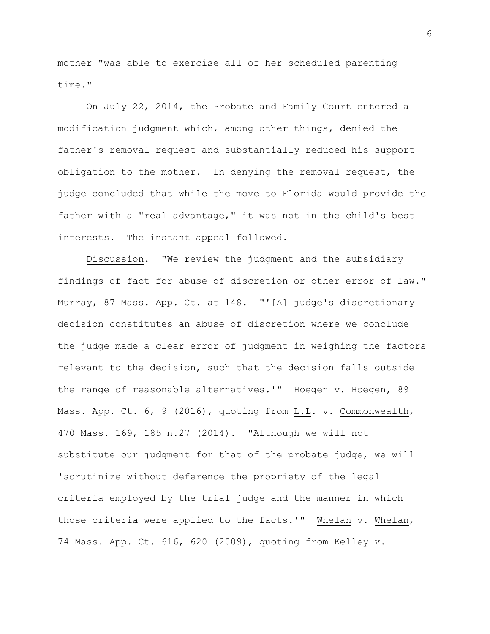mother "was able to exercise all of her scheduled parenting time."

On July 22, 2014, the Probate and Family Court entered a modification judgment which, among other things, denied the father's removal request and substantially reduced his support obligation to the mother. In denying the removal request, the judge concluded that while the move to Florida would provide the father with a "real advantage," it was not in the child's best interests. The instant appeal followed.

Discussion. "We review the judgment and the subsidiary findings of fact for abuse of discretion or other error of law." Murray, 87 Mass. App. Ct. at 148. "'[A] judge's discretionary decision constitutes an abuse of discretion where we conclude the judge made a clear error of judgment in weighing the factors relevant to the decision, such that the decision falls outside the range of reasonable alternatives.'" Hoegen v. Hoegen, 89 Mass. App. Ct. 6, 9 (2016), quoting from L.L. v. Commonwealth, 470 Mass. 169, 185 n.27 (2014). "Although we will not substitute our judgment for that of the probate judge, we will 'scrutinize without deference the propriety of the legal criteria employed by the trial judge and the manner in which those criteria were applied to the facts.'" Whelan v. Whelan, 74 Mass. App. Ct. 616, 620 (2009), quoting from Kelley v.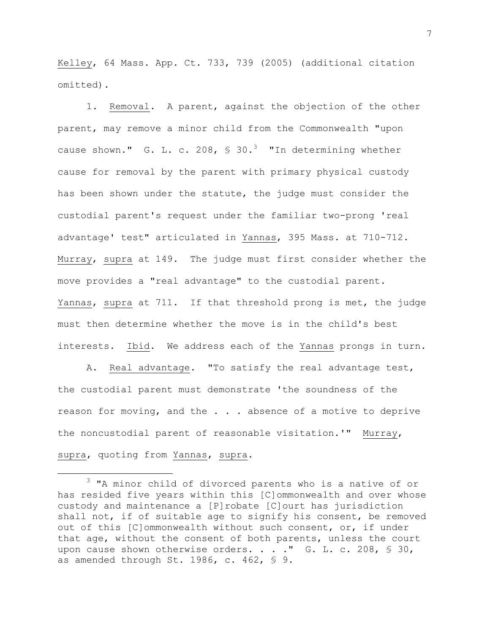Kelley, 64 Mass. App. Ct. 733, 739 (2005) (additional citation omitted).

1. Removal. A parent, against the objection of the other parent, may remove a minor child from the Commonwealth "upon cause shown." G. L. c. 208,  $\frac{1}{2}$  30.<sup>3</sup> "In determining whether cause for removal by the parent with primary physical custody has been shown under the statute, the judge must consider the custodial parent's request under the familiar two-prong 'real advantage' test" articulated in Yannas, 395 Mass. at 710-712. Murray, supra at 149. The judge must first consider whether the move provides a "real advantage" to the custodial parent. Yannas, supra at 711. If that threshold prong is met, the judge must then determine whether the move is in the child's best interests. Ibid. We address each of the Yannas prongs in turn.

A. Real advantage. "To satisfy the real advantage test, the custodial parent must demonstrate 'the soundness of the reason for moving, and the . . . absence of a motive to deprive the noncustodial parent of reasonable visitation.'" Murray, supra, quoting from Yannas, supra.

÷.

<sup>&</sup>lt;sup>3</sup> "A minor child of divorced parents who is a native of or has resided five years within this [C]ommonwealth and over whose custody and maintenance a [P]robate [C]ourt has jurisdiction shall not, if of suitable age to signify his consent, be removed out of this [C]ommonwealth without such consent, or, if under that age, without the consent of both parents, unless the court upon cause shown otherwise orders. . . . " G. L. c. 208, \$ 30, as amended through St. 1986, c. 462, § 9.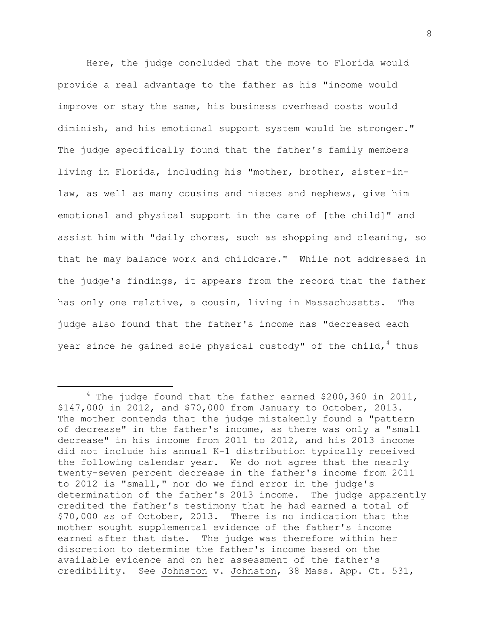Here, the judge concluded that the move to Florida would provide a real advantage to the father as his "income would improve or stay the same, his business overhead costs would diminish, and his emotional support system would be stronger." The judge specifically found that the father's family members living in Florida, including his "mother, brother, sister-inlaw, as well as many cousins and nieces and nephews, give him emotional and physical support in the care of [the child]" and assist him with "daily chores, such as shopping and cleaning, so that he may balance work and childcare." While not addressed in the judge's findings, it appears from the record that the father has only one relative, a cousin, living in Massachusetts. The judge also found that the father's income has "decreased each year since he gained sole physical custody" of the child,  $4$  thus

 $4$  The judge found that the father earned \$200,360 in 2011, \$147,000 in 2012, and \$70,000 from January to October, 2013. The mother contends that the judge mistakenly found a "pattern of decrease" in the father's income, as there was only a "small decrease" in his income from 2011 to 2012, and his 2013 income did not include his annual K-1 distribution typically received the following calendar year. We do not agree that the nearly twenty-seven percent decrease in the father's income from 2011 to 2012 is "small," nor do we find error in the judge's determination of the father's 2013 income. The judge apparently credited the father's testimony that he had earned a total of \$70,000 as of October, 2013. There is no indication that the mother sought supplemental evidence of the father's income earned after that date. The judge was therefore within her discretion to determine the father's income based on the available evidence and on her assessment of the father's credibility. See Johnston v. Johnston, 38 Mass. App. Ct. 531,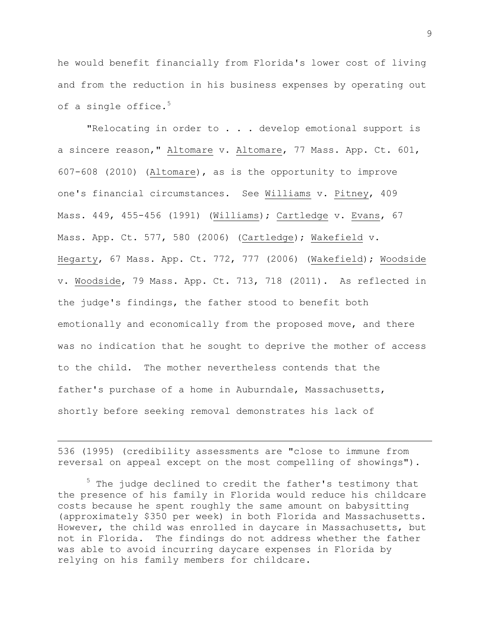he would benefit financially from Florida's lower cost of living and from the reduction in his business expenses by operating out of a single office. $5$ 

"Relocating in order to . . . develop emotional support is a sincere reason," Altomare v. Altomare, 77 Mass. App. Ct. 601, 607-608 (2010) (Altomare), as is the opportunity to improve one's financial circumstances. See Williams v. Pitney, 409 Mass. 449, 455-456 (1991) (Williams); Cartledge v. Evans, 67 Mass. App. Ct. 577, 580 (2006) (Cartledge); Wakefield v. Hegarty, 67 Mass. App. Ct. 772, 777 (2006) (Wakefield); Woodside v. Woodside, 79 Mass. App. Ct. 713, 718 (2011). As reflected in the judge's findings, the father stood to benefit both emotionally and economically from the proposed move, and there was no indication that he sought to deprive the mother of access to the child. The mother nevertheless contends that the father's purchase of a home in Auburndale, Massachusetts, shortly before seeking removal demonstrates his lack of

536 (1995) (credibility assessments are "close to immune from reversal on appeal except on the most compelling of showings").

÷.

<sup>5</sup> The judge declined to credit the father's testimony that the presence of his family in Florida would reduce his childcare costs because he spent roughly the same amount on babysitting (approximately \$350 per week) in both Florida and Massachusetts. However, the child was enrolled in daycare in Massachusetts, but not in Florida. The findings do not address whether the father was able to avoid incurring daycare expenses in Florida by relying on his family members for childcare.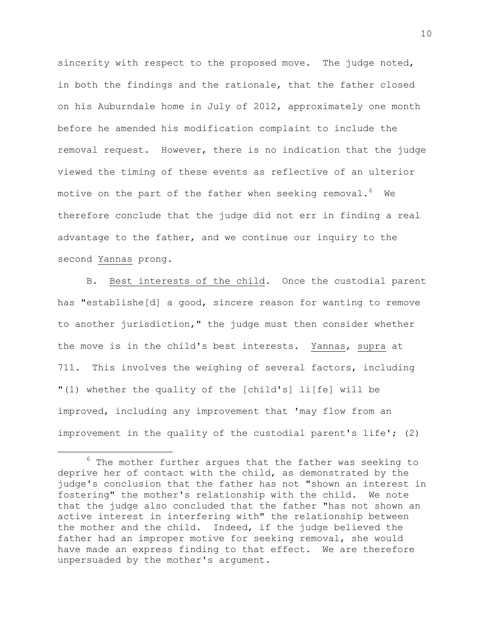sincerity with respect to the proposed move. The judge noted, in both the findings and the rationale, that the father closed on his Auburndale home in July of 2012, approximately one month before he amended his modification complaint to include the removal request. However, there is no indication that the judge viewed the timing of these events as reflective of an ulterior motive on the part of the father when seeking removal. $^6$  We therefore conclude that the judge did not err in finding a real advantage to the father, and we continue our inquiry to the second Yannas prong.

B. Best interests of the child. Once the custodial parent has "establishe[d] a good, sincere reason for wanting to remove to another jurisdiction," the judge must then consider whether the move is in the child's best interests. Yannas, supra at 711. This involves the weighing of several factors, including "(1) whether the quality of the [child's] li[fe] will be improved, including any improvement that 'may flow from an improvement in the quality of the custodial parent's life'; (2)

 $6$  The mother further argues that the father was seeking to deprive her of contact with the child, as demonstrated by the judge's conclusion that the father has not "shown an interest in fostering" the mother's relationship with the child. We note that the judge also concluded that the father "has not shown an active interest in interfering with" the relationship between the mother and the child. Indeed, if the judge believed the father had an improper motive for seeking removal, she would have made an express finding to that effect. We are therefore unpersuaded by the mother's argument.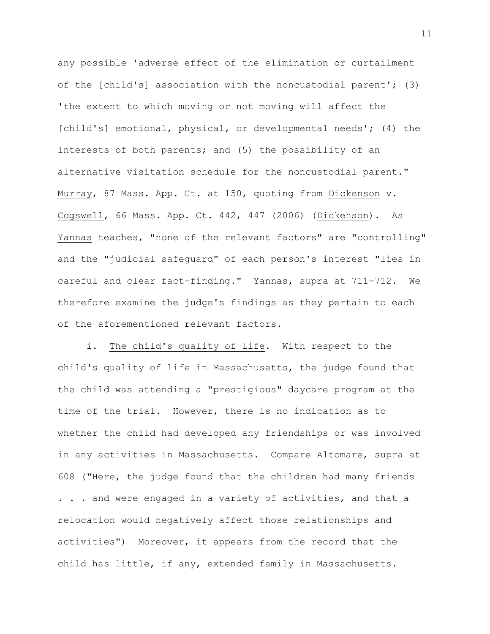any possible 'adverse effect of the elimination or curtailment of the [child's] association with the noncustodial parent'; (3) 'the extent to which moving or not moving will affect the [child's] emotional, physical, or developmental needs'; (4) the interests of both parents; and (5) the possibility of an alternative visitation schedule for the noncustodial parent." Murray, 87 Mass. App. Ct. at 150, quoting from Dickenson v. Cogswell, 66 Mass. App. Ct. 442, 447 (2006) (Dickenson). As Yannas teaches, "none of the relevant factors" are "controlling" and the "judicial safeguard" of each person's interest "lies in careful and clear fact-finding." Yannas, supra at 711-712. We therefore examine the judge's findings as they pertain to each of the aforementioned relevant factors.

i. The child's quality of life. With respect to the child's quality of life in Massachusetts, the judge found that the child was attending a "prestigious" daycare program at the time of the trial. However, there is no indication as to whether the child had developed any friendships or was involved in any activities in Massachusetts. Compare Altomare, supra at 608 ("Here, the judge found that the children had many friends . . . and were engaged in a variety of activities, and that a relocation would negatively affect those relationships and activities") Moreover, it appears from the record that the child has little, if any, extended family in Massachusetts.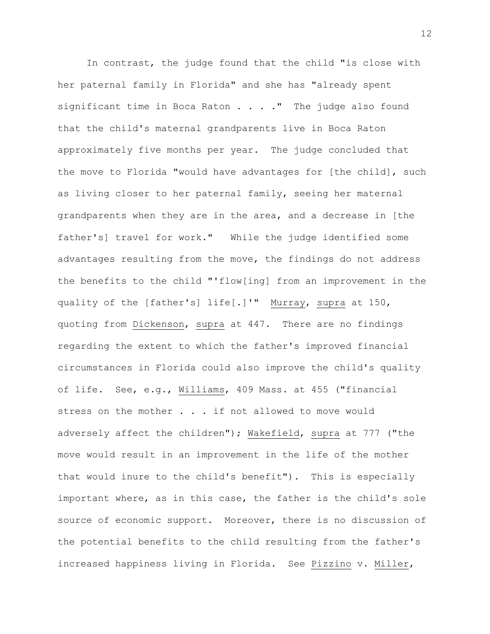In contrast, the judge found that the child "is close with her paternal family in Florida" and she has "already spent significant time in Boca Raton . . . . " The judge also found that the child's maternal grandparents live in Boca Raton approximately five months per year. The judge concluded that the move to Florida "would have advantages for [the child], such as living closer to her paternal family, seeing her maternal grandparents when they are in the area, and a decrease in [the father's] travel for work." While the judge identified some advantages resulting from the move, the findings do not address the benefits to the child "'flow[ing] from an improvement in the quality of the [father's] life[.]'" Murray, supra at 150, quoting from Dickenson, supra at 447. There are no findings regarding the extent to which the father's improved financial circumstances in Florida could also improve the child's quality of life. See, e.g., Williams, 409 Mass. at 455 ("financial stress on the mother . . . if not allowed to move would adversely affect the children"); Wakefield, supra at 777 ("the move would result in an improvement in the life of the mother that would inure to the child's benefit"). This is especially important where, as in this case, the father is the child's sole source of economic support. Moreover, there is no discussion of the potential benefits to the child resulting from the father's increased happiness living in Florida. See Pizzino v. Miller,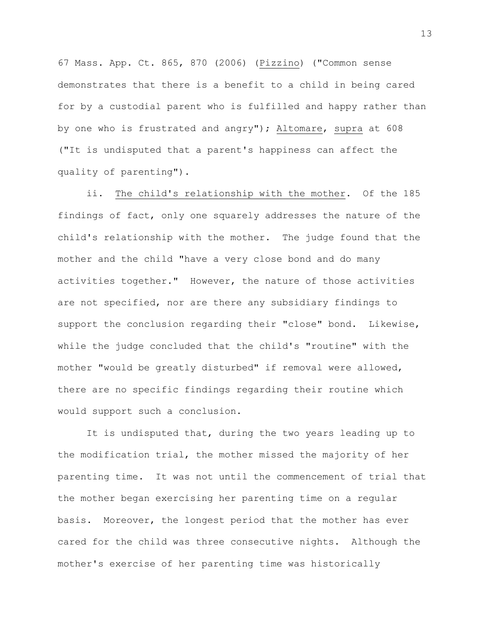67 Mass. App. Ct. 865, 870 (2006) (Pizzino) ("Common sense demonstrates that there is a benefit to a child in being cared for by a custodial parent who is fulfilled and happy rather than by one who is frustrated and angry"); Altomare, supra at 608 ("It is undisputed that a parent's happiness can affect the quality of parenting").

ii. The child's relationship with the mother. Of the 185 findings of fact, only one squarely addresses the nature of the child's relationship with the mother. The judge found that the mother and the child "have a very close bond and do many activities together." However, the nature of those activities are not specified, nor are there any subsidiary findings to support the conclusion regarding their "close" bond. Likewise, while the judge concluded that the child's "routine" with the mother "would be greatly disturbed" if removal were allowed, there are no specific findings regarding their routine which would support such a conclusion.

It is undisputed that, during the two years leading up to the modification trial, the mother missed the majority of her parenting time. It was not until the commencement of trial that the mother began exercising her parenting time on a regular basis. Moreover, the longest period that the mother has ever cared for the child was three consecutive nights. Although the mother's exercise of her parenting time was historically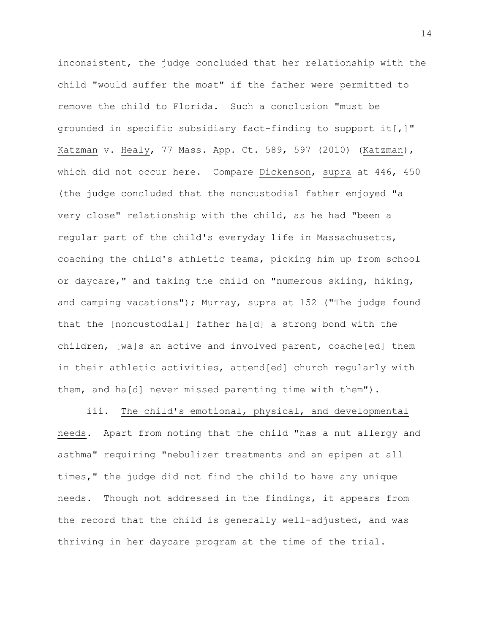inconsistent, the judge concluded that her relationship with the child "would suffer the most" if the father were permitted to remove the child to Florida. Such a conclusion "must be grounded in specific subsidiary fact-finding to support it[,]" Katzman v. Healy, 77 Mass. App. Ct. 589, 597 (2010) (Katzman), which did not occur here. Compare Dickenson, supra at 446, 450 (the judge concluded that the noncustodial father enjoyed "a very close" relationship with the child, as he had "been a regular part of the child's everyday life in Massachusetts, coaching the child's athletic teams, picking him up from school or daycare," and taking the child on "numerous skiing, hiking, and camping vacations"); Murray, supra at 152 ("The judge found that the [noncustodial] father ha[d] a strong bond with the children, [wa]s an active and involved parent, coache[ed] them in their athletic activities, attend[ed] church regularly with them, and ha[d] never missed parenting time with them").

iii. The child's emotional, physical, and developmental needs. Apart from noting that the child "has a nut allergy and asthma" requiring "nebulizer treatments and an epipen at all times," the judge did not find the child to have any unique needs. Though not addressed in the findings, it appears from the record that the child is generally well-adjusted, and was thriving in her daycare program at the time of the trial.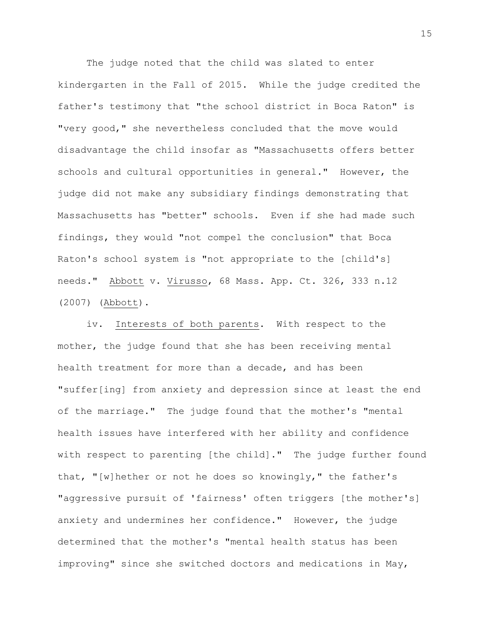The judge noted that the child was slated to enter kindergarten in the Fall of 2015. While the judge credited the father's testimony that "the school district in Boca Raton" is "very good," she nevertheless concluded that the move would disadvantage the child insofar as "Massachusetts offers better schools and cultural opportunities in general." However, the judge did not make any subsidiary findings demonstrating that Massachusetts has "better" schools. Even if she had made such findings, they would "not compel the conclusion" that Boca Raton's school system is "not appropriate to the [child's] needs." Abbott v. Virusso, 68 Mass. App. Ct. 326, 333 n.12 (2007) (Abbott).

iv. Interests of both parents. With respect to the mother, the judge found that she has been receiving mental health treatment for more than a decade, and has been "suffer[ing] from anxiety and depression since at least the end of the marriage." The judge found that the mother's "mental health issues have interfered with her ability and confidence with respect to parenting [the child]." The judge further found that, "[w]hether or not he does so knowingly," the father's "aggressive pursuit of 'fairness' often triggers [the mother's] anxiety and undermines her confidence." However, the judge determined that the mother's "mental health status has been improving" since she switched doctors and medications in May,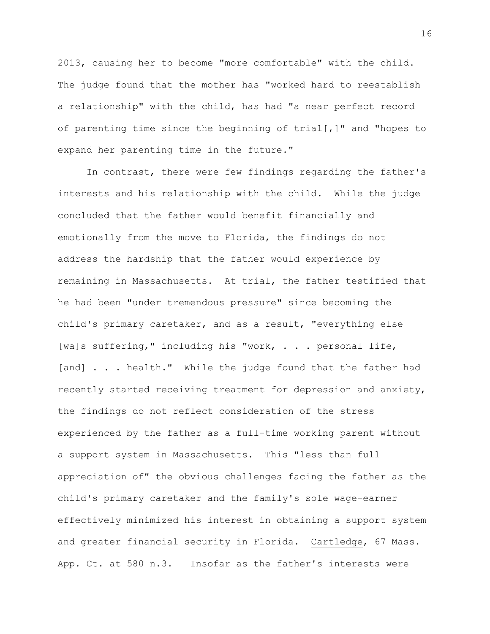2013, causing her to become "more comfortable" with the child. The judge found that the mother has "worked hard to reestablish a relationship" with the child, has had "a near perfect record of parenting time since the beginning of  $trial[,]$ " and "hopes to expand her parenting time in the future."

In contrast, there were few findings regarding the father's interests and his relationship with the child. While the judge concluded that the father would benefit financially and emotionally from the move to Florida, the findings do not address the hardship that the father would experience by remaining in Massachusetts. At trial, the father testified that he had been "under tremendous pressure" since becoming the child's primary caretaker, and as a result, "everything else [wa]s suffering," including his "work, . . . personal life, [and] . . . health." While the judge found that the father had recently started receiving treatment for depression and anxiety, the findings do not reflect consideration of the stress experienced by the father as a full-time working parent without a support system in Massachusetts. This "less than full appreciation of" the obvious challenges facing the father as the child's primary caretaker and the family's sole wage-earner effectively minimized his interest in obtaining a support system and greater financial security in Florida. Cartledge, 67 Mass. App. Ct. at 580 n.3. Insofar as the father's interests were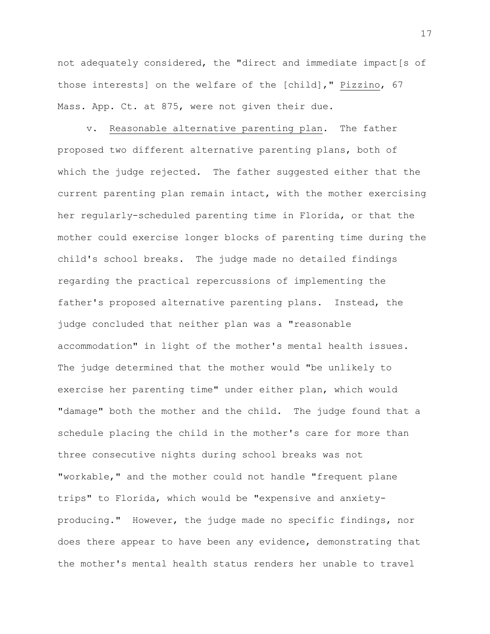not adequately considered, the "direct and immediate impact[s of those interests] on the welfare of the [child]," Pizzino, 67 Mass. App. Ct. at 875, were not given their due.

v. Reasonable alternative parenting plan. The father proposed two different alternative parenting plans, both of which the judge rejected. The father suggested either that the current parenting plan remain intact, with the mother exercising her regularly-scheduled parenting time in Florida, or that the mother could exercise longer blocks of parenting time during the child's school breaks. The judge made no detailed findings regarding the practical repercussions of implementing the father's proposed alternative parenting plans. Instead, the judge concluded that neither plan was a "reasonable accommodation" in light of the mother's mental health issues. The judge determined that the mother would "be unlikely to exercise her parenting time" under either plan, which would "damage" both the mother and the child. The judge found that a schedule placing the child in the mother's care for more than three consecutive nights during school breaks was not "workable," and the mother could not handle "frequent plane trips" to Florida, which would be "expensive and anxietyproducing." However, the judge made no specific findings, nor does there appear to have been any evidence, demonstrating that the mother's mental health status renders her unable to travel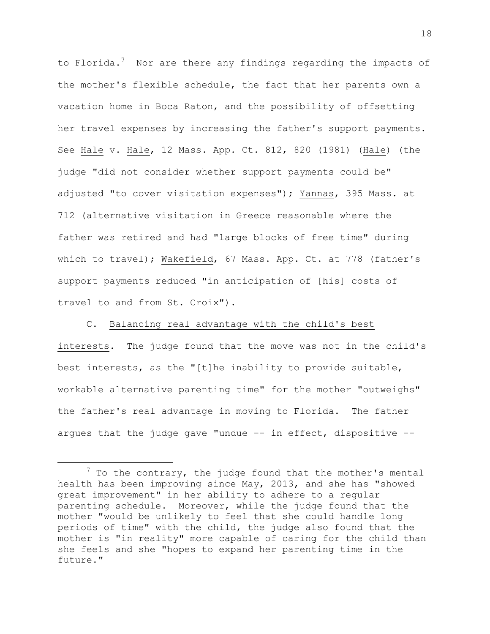to Florida.<sup>7</sup> Nor are there any findings regarding the impacts of the mother's flexible schedule, the fact that her parents own a vacation home in Boca Raton, and the possibility of offsetting her travel expenses by increasing the father's support payments. See Hale v. Hale, 12 Mass. App. Ct. 812, 820 (1981) (Hale) (the judge "did not consider whether support payments could be" adjusted "to cover visitation expenses"); Yannas, 395 Mass. at 712 (alternative visitation in Greece reasonable where the father was retired and had "large blocks of free time" during which to travel); Wakefield, 67 Mass. App. Ct. at 778 (father's support payments reduced "in anticipation of [his] costs of travel to and from St. Croix").

C. Balancing real advantage with the child's best interests. The judge found that the move was not in the child's best interests, as the "[t]he inability to provide suitable, workable alternative parenting time" for the mother "outweighs" the father's real advantage in moving to Florida. The father argues that the judge gave "undue -- in effect, dispositive --

 $7$  To the contrary, the judge found that the mother's mental health has been improving since May, 2013, and she has "showed great improvement" in her ability to adhere to a regular parenting schedule. Moreover, while the judge found that the mother "would be unlikely to feel that she could handle long periods of time" with the child, the judge also found that the mother is "in reality" more capable of caring for the child than she feels and she "hopes to expand her parenting time in the future."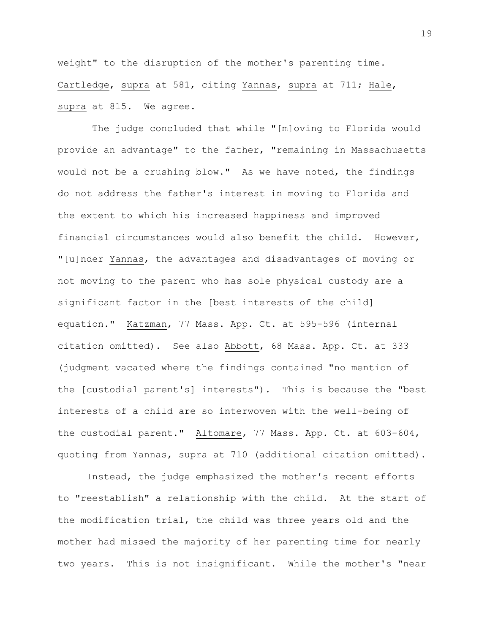weight" to the disruption of the mother's parenting time. Cartledge, supra at 581, citing Yannas, supra at 711; Hale, supra at 815. We agree.

The judge concluded that while "[m]oving to Florida would provide an advantage" to the father, "remaining in Massachusetts would not be a crushing blow." As we have noted, the findings do not address the father's interest in moving to Florida and the extent to which his increased happiness and improved financial circumstances would also benefit the child. However, "[u]nder Yannas, the advantages and disadvantages of moving or not moving to the parent who has sole physical custody are a significant factor in the [best interests of the child] equation." Katzman, 77 Mass. App. Ct. at 595-596 (internal citation omitted). See also Abbott, 68 Mass. App. Ct. at 333 (judgment vacated where the findings contained "no mention of the [custodial parent's] interests"). This is because the "best interests of a child are so interwoven with the well-being of the custodial parent." Altomare, 77 Mass. App. Ct. at 603-604, quoting from Yannas, supra at 710 (additional citation omitted).

Instead, the judge emphasized the mother's recent efforts to "reestablish" a relationship with the child. At the start of the modification trial, the child was three years old and the mother had missed the majority of her parenting time for nearly two years. This is not insignificant. While the mother's "near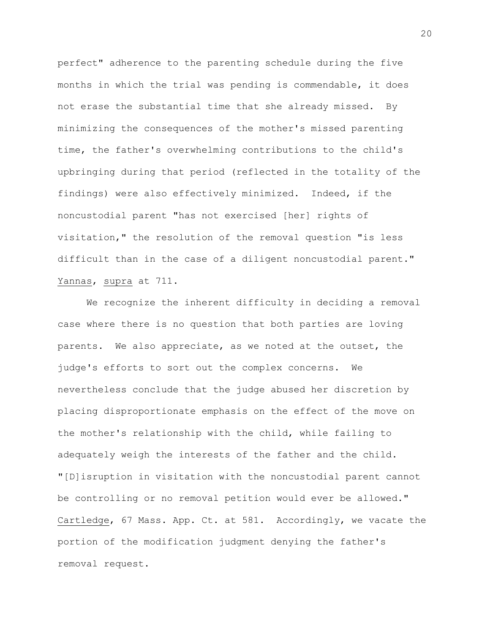perfect" adherence to the parenting schedule during the five months in which the trial was pending is commendable, it does not erase the substantial time that she already missed. By minimizing the consequences of the mother's missed parenting time, the father's overwhelming contributions to the child's upbringing during that period (reflected in the totality of the findings) were also effectively minimized. Indeed, if the noncustodial parent "has not exercised [her] rights of visitation," the resolution of the removal question "is less difficult than in the case of a diligent noncustodial parent." Yannas, supra at 711.

We recognize the inherent difficulty in deciding a removal case where there is no question that both parties are loving parents. We also appreciate, as we noted at the outset, the judge's efforts to sort out the complex concerns. We nevertheless conclude that the judge abused her discretion by placing disproportionate emphasis on the effect of the move on the mother's relationship with the child, while failing to adequately weigh the interests of the father and the child. "[D]isruption in visitation with the noncustodial parent cannot be controlling or no removal petition would ever be allowed." Cartledge, 67 Mass. App. Ct. at 581. Accordingly, we vacate the portion of the modification judgment denying the father's removal request.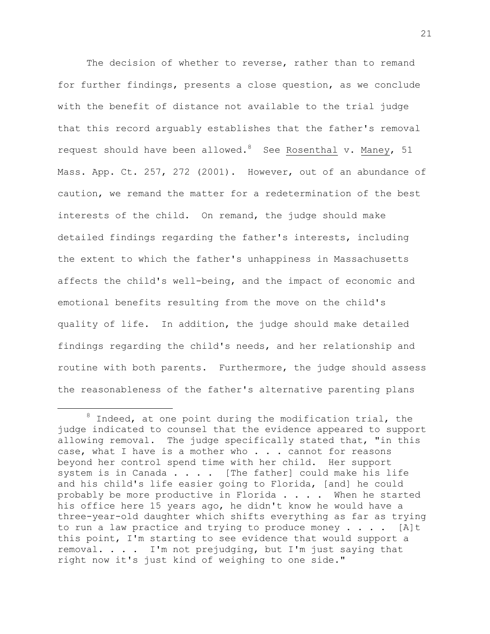The decision of whether to reverse, rather than to remand for further findings, presents a close question, as we conclude with the benefit of distance not available to the trial judge that this record arguably establishes that the father's removal request should have been allowed.<sup>8</sup> See Rosenthal v. Maney, 51 Mass. App. Ct. 257, 272 (2001). However, out of an abundance of caution, we remand the matter for a redetermination of the best interests of the child. On remand, the judge should make detailed findings regarding the father's interests, including the extent to which the father's unhappiness in Massachusetts affects the child's well-being, and the impact of economic and emotional benefits resulting from the move on the child's quality of life. In addition, the judge should make detailed findings regarding the child's needs, and her relationship and routine with both parents. Furthermore, the judge should assess the reasonableness of the father's alternative parenting plans

 $8$  Indeed, at one point during the modification trial, the judge indicated to counsel that the evidence appeared to support allowing removal. The judge specifically stated that, "in this case, what I have is a mother who . . . cannot for reasons beyond her control spend time with her child. Her support system is in Canada . . . . [The father] could make his life and his child's life easier going to Florida, [and] he could probably be more productive in Florida . . . . When he started his office here 15 years ago, he didn't know he would have a three-year-old daughter which shifts everything as far as trying to run a law practice and trying to produce money  $\ldots$  . . [A]t this point, I'm starting to see evidence that would support a removal. . . . I'm not prejudging, but I'm just saying that right now it's just kind of weighing to one side."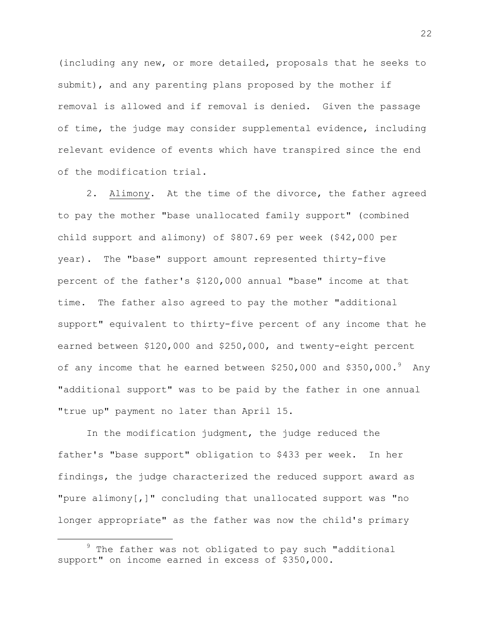(including any new, or more detailed, proposals that he seeks to submit), and any parenting plans proposed by the mother if removal is allowed and if removal is denied. Given the passage of time, the judge may consider supplemental evidence, including relevant evidence of events which have transpired since the end of the modification trial.

2. Alimony. At the time of the divorce, the father agreed to pay the mother "base unallocated family support" (combined child support and alimony) of \$807.69 per week (\$42,000 per year). The "base" support amount represented thirty-five percent of the father's \$120,000 annual "base" income at that time. The father also agreed to pay the mother "additional support" equivalent to thirty-five percent of any income that he earned between \$120,000 and \$250,000, and twenty-eight percent of any income that he earned between  $$250,000$  and  $$350,000.^9$  Any "additional support" was to be paid by the father in one annual "true up" payment no later than April 15.

In the modification judgment, the judge reduced the father's "base support" obligation to \$433 per week. In her findings, the judge characterized the reduced support award as "pure alimony[,]" concluding that unallocated support was "no longer appropriate" as the father was now the child's primary

 $9$  The father was not obligated to pay such "additional support" on income earned in excess of \$350,000.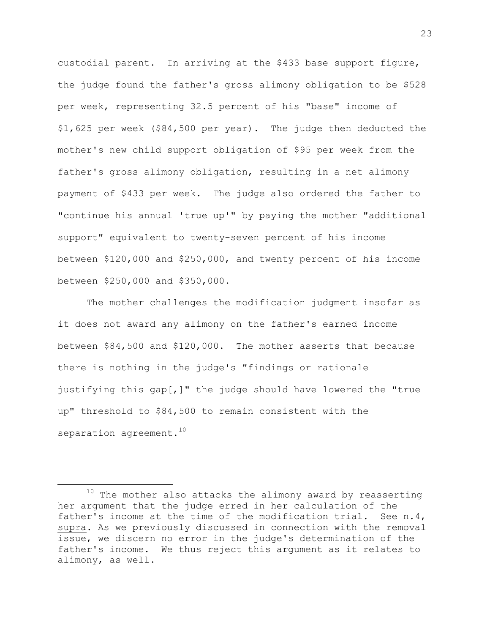custodial parent. In arriving at the \$433 base support figure, the judge found the father's gross alimony obligation to be \$528 per week, representing 32.5 percent of his "base" income of \$1,625 per week (\$84,500 per year). The judge then deducted the mother's new child support obligation of \$95 per week from the father's gross alimony obligation, resulting in a net alimony payment of \$433 per week. The judge also ordered the father to "continue his annual 'true up'" by paying the mother "additional support" equivalent to twenty-seven percent of his income between \$120,000 and \$250,000, and twenty percent of his income between \$250,000 and \$350,000.

The mother challenges the modification judgment insofar as it does not award any alimony on the father's earned income between \$84,500 and \$120,000. The mother asserts that because there is nothing in the judge's "findings or rationale justifying this gap[,]" the judge should have lowered the "true up" threshold to \$84,500 to remain consistent with the separation agreement. $^{10}$ 

 $10$  The mother also attacks the alimony award by reasserting her argument that the judge erred in her calculation of the father's income at the time of the modification trial. See n.4, supra. As we previously discussed in connection with the removal issue, we discern no error in the judge's determination of the father's income. We thus reject this argument as it relates to alimony, as well.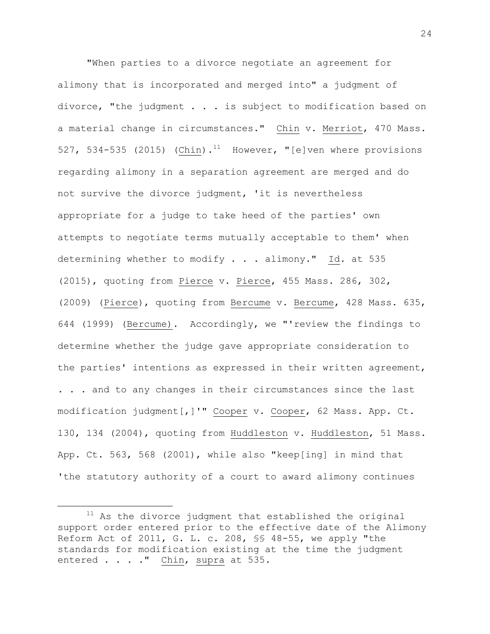"When parties to a divorce negotiate an agreement for alimony that is incorporated and merged into" a judgment of divorce, "the judgment . . . is subject to modification based on a material change in circumstances." Chin v. Merriot, 470 Mass. 527, 534-535 (2015) (Chin).<sup>11</sup> However, "[e]ven where provisions regarding alimony in a separation agreement are merged and do not survive the divorce judgment, 'it is nevertheless appropriate for a judge to take heed of the parties' own attempts to negotiate terms mutually acceptable to them' when determining whether to modify . . . alimony." Id. at 535 (2015), quoting from Pierce v. Pierce, 455 Mass. 286, 302, (2009) (Pierce), quoting from Bercume v. Bercume, 428 Mass. 635, 644 (1999) (Bercume). Accordingly, we "'review the findings to determine whether the judge gave appropriate consideration to the parties' intentions as expressed in their written agreement, . . . and to any changes in their circumstances since the last modification judgment[,]'" Cooper v. Cooper, 62 Mass. App. Ct. 130, 134 (2004), quoting from Huddleston v. Huddleston, 51 Mass. App. Ct. 563, 568 (2001), while also "keep[ing] in mind that 'the statutory authority of a court to award alimony continues

L,

 $11$  As the divorce judgment that established the original support order entered prior to the effective date of the Alimony Reform Act of 2011, G. L. c. 208, §§ 48-55, we apply "the standards for modification existing at the time the judgment entered . . . . " Chin, supra at 535.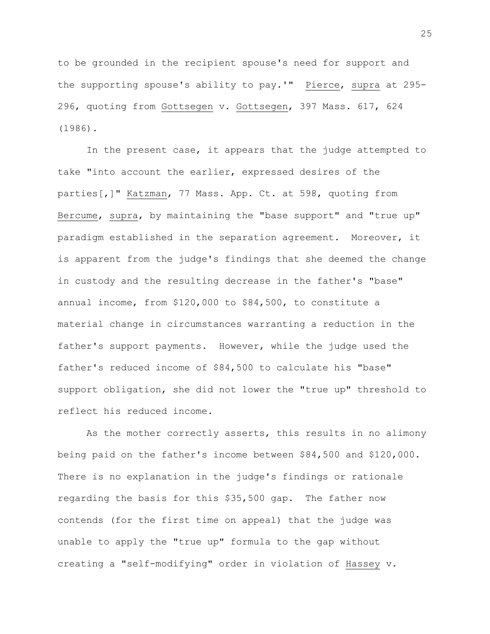to be grounded in the recipient spouse's need for support and the supporting spouse's ability to pay.'" Pierce, supra at 295- 296, quoting from Gottsegen v. Gottsegen, 397 Mass. 617, 624 (1986).

In the present case, it appears that the judge attempted to take "into account the earlier, expressed desires of the parties[,]" Katzman, 77 Mass. App. Ct. at 598, quoting from Bercume, supra, by maintaining the "base support" and "true up" paradigm established in the separation agreement. Moreover, it is apparent from the judge's findings that she deemed the change in custody and the resulting decrease in the father's "base" annual income, from \$120,000 to \$84,500, to constitute a material change in circumstances warranting a reduction in the father's support payments. However, while the judge used the father's reduced income of \$84,500 to calculate his "base" support obligation, she did not lower the "true up" threshold to reflect his reduced income.

As the mother correctly asserts, this results in no alimony being paid on the father's income between \$84,500 and \$120,000. There is no explanation in the judge's findings or rationale regarding the basis for this \$35,500 gap. The father now contends (for the first time on appeal) that the judge was unable to apply the "true up" formula to the gap without creating a "self-modifying" order in violation of Hassey v.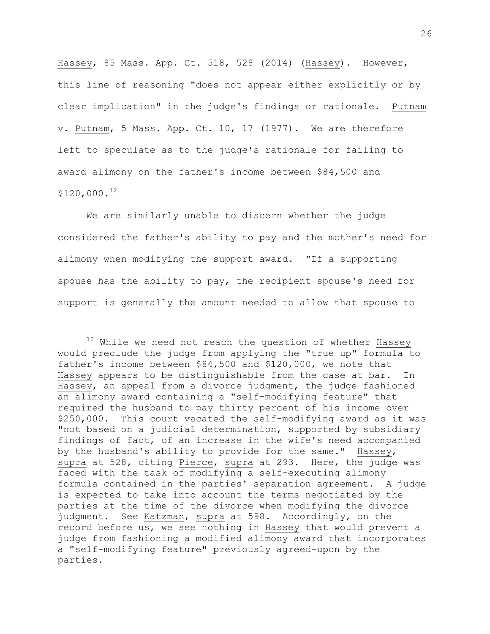Hassey, 85 Mass. App. Ct. 518, 528 (2014) (Hassey). However, this line of reasoning "does not appear either explicitly or by clear implication" in the judge's findings or rationale. Putnam v. Putnam, 5 Mass. App. Ct. 10, 17 (1977). We are therefore left to speculate as to the judge's rationale for failing to award alimony on the father's income between \$84,500 and \$120,000. 12

We are similarly unable to discern whether the judge considered the father's ability to pay and the mother's need for alimony when modifying the support award. "If a supporting spouse has the ability to pay, the recipient spouse's need for support is generally the amount needed to allow that spouse to

L,

 $12$  While we need not reach the question of whether Hassey would preclude the judge from applying the "true up" formula to father's income between \$84,500 and \$120,000, we note that Hassey appears to be distinguishable from the case at bar. In Hassey, an appeal from a divorce judgment, the judge fashioned an alimony award containing a "self-modifying feature" that required the husband to pay thirty percent of his income over \$250,000. This court vacated the self-modifying award as it was "not based on a judicial determination, supported by subsidiary findings of fact, of an increase in the wife's need accompanied by the husband's ability to provide for the same." Hassey, supra at 528, citing Pierce, supra at 293. Here, the judge was faced with the task of modifying a self-executing alimony formula contained in the parties' separation agreement. A judge is expected to take into account the terms negotiated by the parties at the time of the divorce when modifying the divorce judgment. See Katzman, supra at 598. Accordingly, on the record before us, we see nothing in Hassey that would prevent a judge from fashioning a modified alimony award that incorporates a "self-modifying feature" previously agreed-upon by the parties.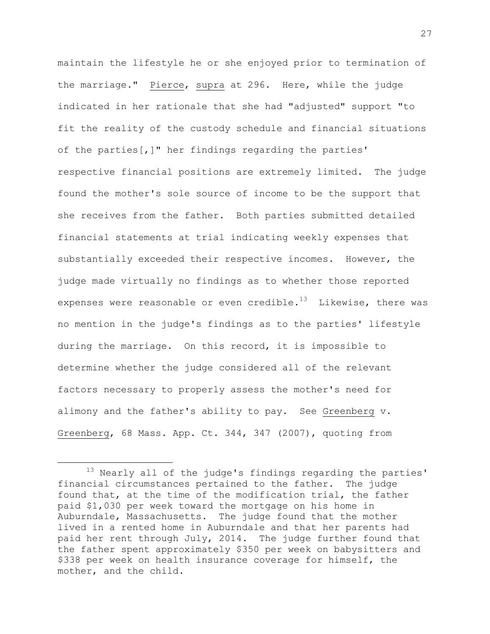maintain the lifestyle he or she enjoyed prior to termination of the marriage." Pierce, supra at 296. Here, while the judge indicated in her rationale that she had "adjusted" support "to fit the reality of the custody schedule and financial situations of the parties[,]" her findings regarding the parties' respective financial positions are extremely limited. The judge found the mother's sole source of income to be the support that she receives from the father. Both parties submitted detailed financial statements at trial indicating weekly expenses that substantially exceeded their respective incomes. However, the judge made virtually no findings as to whether those reported expenses were reasonable or even credible. $^{13}$  -Likewise, there was no mention in the judge's findings as to the parties' lifestyle during the marriage. On this record, it is impossible to determine whether the judge considered all of the relevant factors necessary to properly assess the mother's need for alimony and the father's ability to pay. See Greenberg v. Greenberg, 68 Mass. App. Ct. 344, 347 (2007), quoting from

i<br>L

<sup>&</sup>lt;sup>13</sup> Nearly all of the judge's findings regarding the parties' financial circumstances pertained to the father. The judge found that, at the time of the modification trial, the father paid \$1,030 per week toward the mortgage on his home in Auburndale, Massachusetts. The judge found that the mother lived in a rented home in Auburndale and that her parents had paid her rent through July, 2014. The judge further found that the father spent approximately \$350 per week on babysitters and \$338 per week on health insurance coverage for himself, the mother, and the child.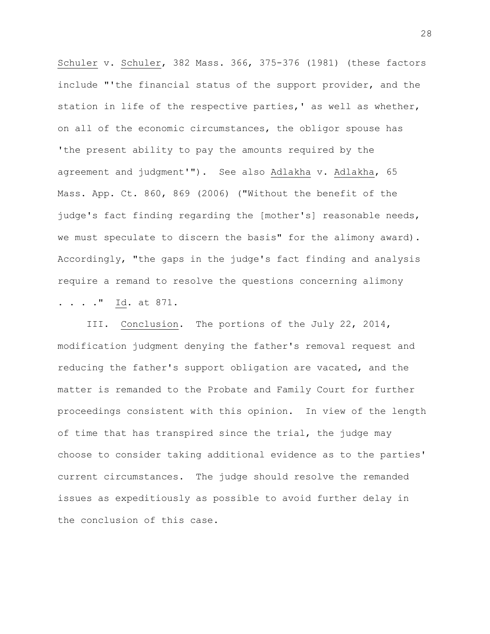Schuler v. Schuler, 382 Mass. 366, 375-376 (1981) (these factors include "'the financial status of the support provider, and the station in life of the respective parties,' as well as whether, on all of the economic circumstances, the obligor spouse has 'the present ability to pay the amounts required by the agreement and judgment'"). See also Adlakha v. Adlakha, 65 Mass. App. Ct. 860, 869 (2006) ("Without the benefit of the judge's fact finding regarding the [mother's] reasonable needs, we must speculate to discern the basis" for the alimony award). Accordingly, "the gaps in the judge's fact finding and analysis require a remand to resolve the questions concerning alimony . . . ." Id. at 871.

III. Conclusion. The portions of the July 22, 2014, modification judgment denying the father's removal request and reducing the father's support obligation are vacated, and the matter is remanded to the Probate and Family Court for further proceedings consistent with this opinion. In view of the length of time that has transpired since the trial, the judge may choose to consider taking additional evidence as to the parties' current circumstances. The judge should resolve the remanded issues as expeditiously as possible to avoid further delay in the conclusion of this case.